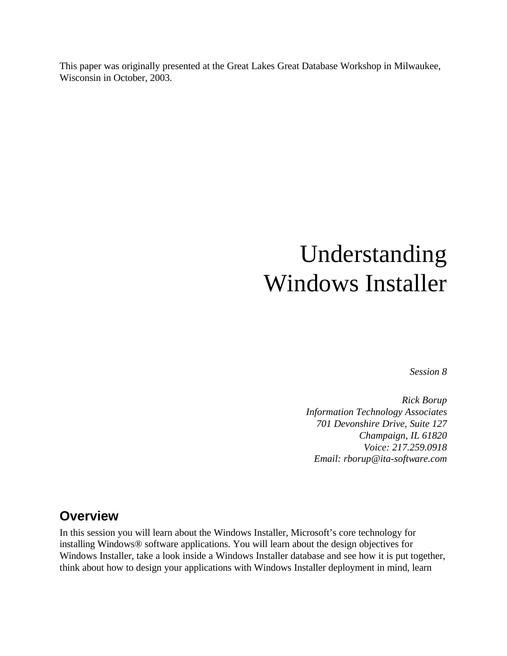This paper was originally presented at the Great Lakes Great Database Workshop in Milwaukee, Wisconsin in October, 2003.

# Understanding Windows Installer

*Session 8*

*Rick Borup Information Technology Associates 701 Devonshire Drive, Suite 127 Champaign, IL 61820 Voice: 217.259.0918 Email: rborup@ita-software.com*

#### **Overview**

In this session you will learn about the Windows Installer, Microsoft's core technology for installing Windows® software applications. You will learn about the design objectives for Windows Installer, take a look inside a Windows Installer database and see how it is put together, think about how to design your applications with Windows Installer deployment in mind, learn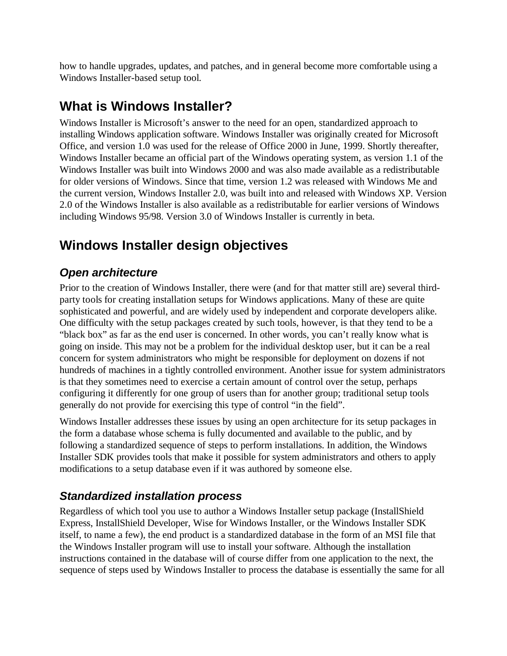how to handle upgrades, updates, and patches, and in general become more comfortable using a Windows Installer-based setup tool.

## **What is Windows Installer?**

Windows Installer is Microsoft's answer to the need for an open, standardized approach to installing Windows application software. Windows Installer was originally created for Microsoft Office, and version 1.0 was used for the release of Office 2000 in June, 1999. Shortly thereafter, Windows Installer became an official part of the Windows operating system, as version 1.1 of the Windows Installer was built into Windows 2000 and was also made available as a redistributable for older versions of Windows. Since that time, version 1.2 was released with Windows Me and the current version, Windows Installer 2.0, was built into and released with Windows XP. Version 2.0 of the Windows Installer is also available as a redistributable for earlier versions of Windows including Windows 95/98. Version 3.0 of Windows Installer is currently in beta.

# **Windows Installer design objectives**

#### *Open architecture*

Prior to the creation of Windows Installer, there were (and for that matter still are) several thirdparty tools for creating installation setups for Windows applications. Many of these are quite sophisticated and powerful, and are widely used by independent and corporate developers alike. One difficulty with the setup packages created by such tools, however, is that they tend to be a "black box" as far as the end user is concerned. In other words, you can't really know what is going on inside. This may not be a problem for the individual desktop user, but it can be a real concern for system administrators who might be responsible for deployment on dozens if not hundreds of machines in a tightly controlled environment. Another issue for system administrators is that they sometimes need to exercise a certain amount of control over the setup, perhaps configuring it differently for one group of users than for another group; traditional setup tools generally do not provide for exercising this type of control "in the field".

Windows Installer addresses these issues by using an open architecture for its setup packages in the form a database whose schema is fully documented and available to the public, and by following a standardized sequence of steps to perform installations. In addition, the Windows Installer SDK provides tools that make it possible for system administrators and others to apply modifications to a setup database even if it was authored by someone else.

#### *Standardized installation process*

Regardless of which tool you use to author a Windows Installer setup package (InstallShield Express, InstallShield Developer, Wise for Windows Installer, or the Windows Installer SDK itself, to name a few), the end product is a standardized database in the form of an MSI file that the Windows Installer program will use to install your software. Although the installation instructions contained in the database will of course differ from one application to the next, the sequence of steps used by Windows Installer to process the database is essentially the same for all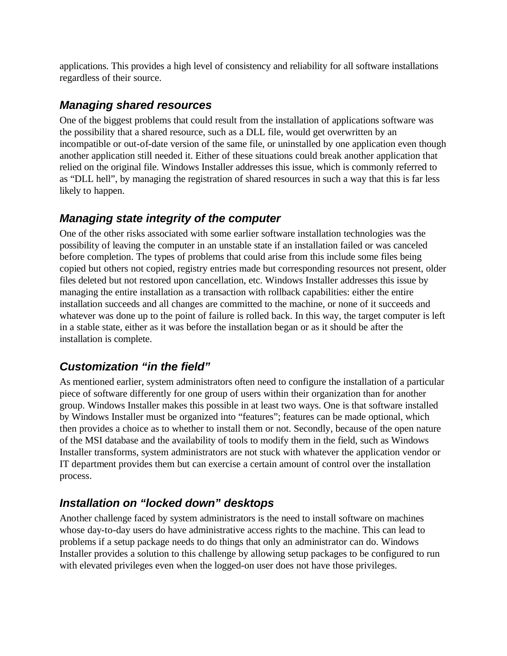applications. This provides a high level of consistency and reliability for all software installations regardless of their source.

#### *Managing shared resources*

One of the biggest problems that could result from the installation of applications software was the possibility that a shared resource, such as a DLL file, would get overwritten by an incompatible or out-of-date version of the same file, or uninstalled by one application even though another application still needed it. Either of these situations could break another application that relied on the original file. Windows Installer addresses this issue, which is commonly referred to as "DLL hell", by managing the registration of shared resources in such a way that this is far less likely to happen.

#### *Managing state integrity of the computer*

One of the other risks associated with some earlier software installation technologies was the possibility of leaving the computer in an unstable state if an installation failed or was canceled before completion. The types of problems that could arise from this include some files being copied but others not copied, registry entries made but corresponding resources not present, older files deleted but not restored upon cancellation, etc. Windows Installer addresses this issue by managing the entire installation as a transaction with rollback capabilities: either the entire installation succeeds and all changes are committed to the machine, or none of it succeeds and whatever was done up to the point of failure is rolled back. In this way, the target computer is left in a stable state, either as it was before the installation began or as it should be after the installation is complete.

## *Customization "in the field"*

As mentioned earlier, system administrators often need to configure the installation of a particular piece of software differently for one group of users within their organization than for another group. Windows Installer makes this possible in at least two ways. One is that software installed by Windows Installer must be organized into "features"; features can be made optional, which then provides a choice as to whether to install them or not. Secondly, because of the open nature of the MSI database and the availability of tools to modify them in the field, such as Windows Installer transforms, system administrators are not stuck with whatever the application vendor or IT department provides them but can exercise a certain amount of control over the installation process.

## *Installation on "locked down" desktops*

Another challenge faced by system administrators is the need to install software on machines whose day-to-day users do have administrative access rights to the machine. This can lead to problems if a setup package needs to do things that only an administrator can do. Windows Installer provides a solution to this challenge by allowing setup packages to be configured to run with elevated privileges even when the logged-on user does not have those privileges.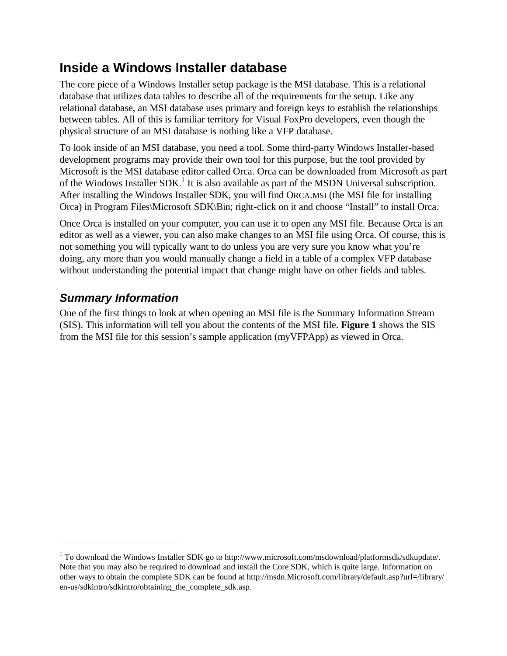## **Inside a Windows Installer database**

The core piece of a Windows Installer setup package is the MSI database. This is a relational database that utilizes data tables to describe all of the requirements for the setup. Like any relational database, an MSI database uses primary and foreign keys to establish the relationships between tables. All of this is familiar territory for Visual FoxPro developers, even though the physical structure of an MSI database is nothing like a VFP database.

To look inside of an MSI database, you need a tool. Some third-party Windows Installer-based development programs may provide their own tool for this purpose, but the tool provided by Microsoft is the MSI database editor called Orca. Orca can be downloaded from Microsoft as part of the Windows Installer SDK.<sup>1</sup> It is also available as part of the MSDN Universal subscription. After installing the Windows Installer SDK, you will find ORCA.MSI (the MSI file for installing Orca) in Program Files\Microsoft SDK\Bin; right-click on it and choose "Install" to install Orca.

Once Orca is installed on your computer, you can use it to open any MSI file. Because Orca is an editor as well as a viewer, you can also make changes to an MSI file using Orca. Of course, this is not something you will typically want to do unless you are very sure you know what you're doing, any more than you would manually change a field in a table of a complex VFP database without understanding the potential impact that change might have on other fields and tables.

#### *Summary Information*

One of the first things to look at when opening an MSI file is the Summary Information Stream (SIS). This information will tell you about the contents of the MSI file. **Figure 1** shows the SIS from the MSI file for this session's sample application (myVFPApp) as viewed in Orca.

<sup>1</sup> To download the Windows Installer SDK go to http://www.microsoft.com/msdownload/platformsdk/sdkupdate/. Note that you may also be required to download and install the Core SDK, which is quite large. Information on other ways to obtain the complete SDK can be found at http://msdn.Microsoft.com/library/default.asp?url=/library/ en-us/sdkintro/sdkintro/obtaining\_the\_complete\_sdk.asp.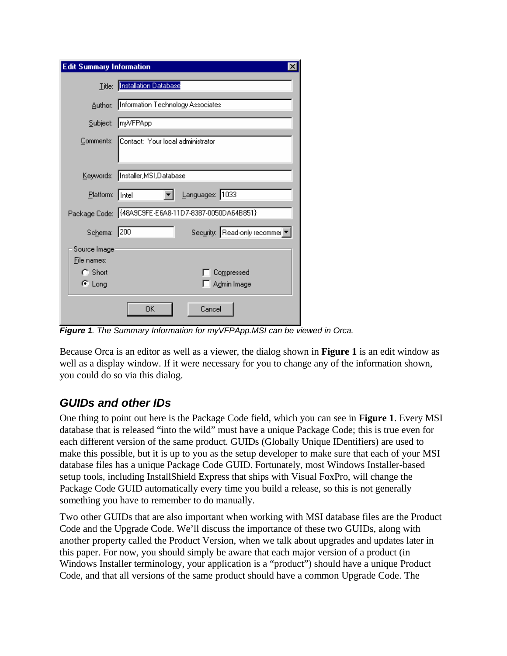| <b>Edit Summary Information</b> | ×                                                    |
|---------------------------------|------------------------------------------------------|
|                                 | Title: Installation Database                         |
|                                 | Author: Information Technology Associates            |
|                                 | Subject: myVFPApp                                    |
|                                 | Comments: Contact: Your local administrator          |
|                                 | Keywords:  Installer,MSI,Database                    |
| Platform: Intel                 | Languages: 1033                                      |
|                                 | Package Code: (48A9C9FE-E6A8-11D7-8387-0050DA64B851) |
| Schema: 200                     | Security: Read-only recommer ▼                       |
| Source Image<br>File names:     |                                                      |
| $C$ Short                       | Compressed                                           |
| $\epsilon$ Long                 | Admin Image                                          |
|                                 | 0K<br>Cancel                                         |

*Figure 1. The Summary Information for myVFPApp.MSI can be viewed in Orca.*

Because Orca is an editor as well as a viewer, the dialog shown in **Figure 1** is an edit window as well as a display window. If it were necessary for you to change any of the information shown, you could do so via this dialog.

#### *GUIDs and other IDs*

One thing to point out here is the Package Code field, which you can see in **Figure 1**. Every MSI database that is released "into the wild" must have a unique Package Code; this is true even for each different version of the same product. GUIDs (Globally Unique IDentifiers) are used to make this possible, but it is up to you as the setup developer to make sure that each of your MSI database files has a unique Package Code GUID. Fortunately, most Windows Installer-based setup tools, including InstallShield Express that ships with Visual FoxPro, will change the Package Code GUID automatically every time you build a release, so this is not generally something you have to remember to do manually.

Two other GUIDs that are also important when working with MSI database files are the Product Code and the Upgrade Code. We'll discuss the importance of these two GUIDs, along with another property called the Product Version, when we talk about upgrades and updates later in this paper. For now, you should simply be aware that each major version of a product (in Windows Installer terminology, your application is a "product") should have a unique Product Code, and that all versions of the same product should have a common Upgrade Code. The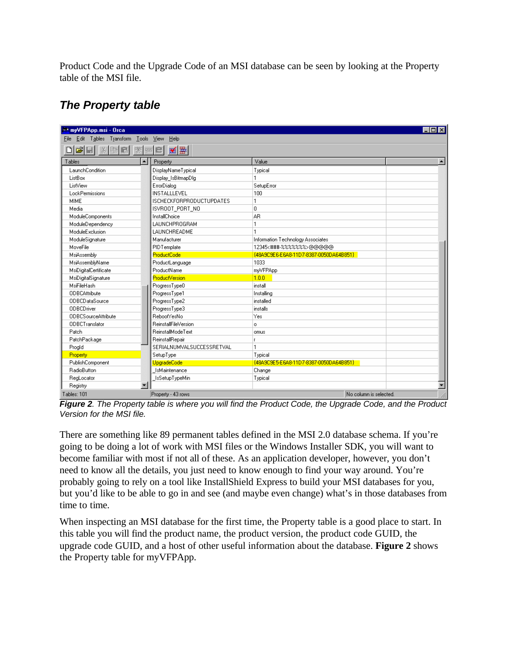Product Code and the Upgrade Code of an MSI database can be seen by looking at the Property table of the MSI file.

#### *The Property table*

| → myVFPApp.msi - Orca                                                          |                                 |                                        | $\Box$ olxi            |
|--------------------------------------------------------------------------------|---------------------------------|----------------------------------------|------------------------|
| Edit Tables Transform Tools View<br><b>File</b>                                | <b>Help</b>                     |                                        |                        |
| $\mathbf{E}[\mathbf{E}]\times[\mathbf{E}]\times[\mathbf{E}]\times[\mathbf{E}]$ | ■■■                             |                                        |                        |
| Tables<br>ᅬ                                                                    | Property                        | Value                                  |                        |
| LaunchCondition                                                                | DisplayNameTypical              | Typical                                |                        |
| ListBox                                                                        | Display_IsBitmapDlg             |                                        |                        |
| ListView                                                                       | ErrorDialog                     | SetupError                             |                        |
| LockPermissions                                                                | INSTALLLEVEL                    | 100                                    |                        |
| MIME                                                                           | <b>ISCHECKFORPRODUCTUPDATES</b> |                                        |                        |
| Media                                                                          | ISVROOT PORT NO                 | $\mathbf 0$                            |                        |
| ModuleComponents                                                               | InstallChoice                   | AR                                     |                        |
| ModuleDependency                                                               | LAUNCHPROGRAM                   |                                        |                        |
| ModuleExclusion                                                                | LAUNCHREADME                    |                                        |                        |
| ModuleSignature                                                                | Manufacturer                    | Information Technology Associates      |                        |
| MoveFile                                                                       | PIDTemplate                     | 12345<###-%%%%%%>@@@@@                 |                        |
| MsiAssembly                                                                    | <b>ProductCode</b>              | {48A9C9E6-E6A8-11D7-8387-0050DA64B851} |                        |
| MsiAssemblyName                                                                | ProductLanguage                 | 1033                                   |                        |
| MsiDigitalCertificate                                                          | ProductName                     | myVFPApp                               |                        |
| MsiDigitalSignature                                                            | <b>ProductVersion</b>           | 1.0.0                                  |                        |
| MsiFileHash                                                                    | ProgressType0                   | install                                |                        |
| <b>ODBCAttribute</b>                                                           | ProgressType1                   | Installing                             |                        |
| <b>ODBCDataSource</b>                                                          | ProgressType2                   | installed                              |                        |
| <b>ODBCDriver</b>                                                              | ProgressType3                   | installs                               |                        |
| <b>ODBCSourceAttribute</b>                                                     | RebootYesNo                     | Yes                                    |                        |
| <b>ODBCTranslator</b>                                                          | <b>ReinstallFileVersion</b>     | $\circ$                                |                        |
| Patch                                                                          | <b>ReinstallModeText</b>        | omus                                   |                        |
| PatchPackage                                                                   | ReinstallRepair                 |                                        |                        |
| Progld                                                                         | SERIALNUMVALSUCCESSRETVAL       |                                        |                        |
| Property                                                                       | SetupType                       | Typical                                |                        |
| PublishComponent                                                               | UpgradeCode                     | {48A9C9E5-E6A8-11D7-8387-0050DA64B851} |                        |
| RadioButton                                                                    | IsMaintenance                   | Change                                 |                        |
| RegLocator                                                                     | IsSetupTypeMin                  | Typical                                |                        |
| $\blacksquare$<br>Registry                                                     |                                 |                                        | $\overline{ }$         |
| Tables: 101                                                                    | Property - 43 rows              |                                        | No column is selected. |

*Figure 2. The Property table is where you will find the Product Code, the Upgrade Code, and the Product Version for the MSI file.*

There are something like 89 permanent tables defined in the MSI 2.0 database schema. If you're going to be doing a lot of work with MSI files or the Windows Installer SDK, you will want to become familiar with most if not all of these. As an application developer, however, you don't need to know all the details, you just need to know enough to find your way around. You're probably going to rely on a tool like InstallShield Express to build your MSI databases for you, but you'd like to be able to go in and see (and maybe even change) what's in those databases from time to time.

When inspecting an MSI database for the first time, the Property table is a good place to start. In this table you will find the product name, the product version, the product code GUID, the upgrade code GUID, and a host of other useful information about the database. **Figure 2** shows the Property table for myVFPApp.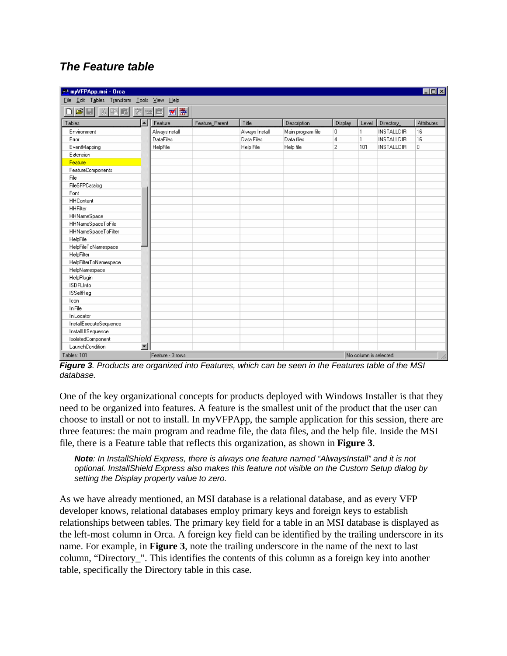#### *The Feature table*

| → myVFPApp.msi - Orca                                     |                  |                |                |                   |                |       |                   | $\overline{\phantom{a}}$ . In $\overline{\phantom{a}}$ |
|-----------------------------------------------------------|------------------|----------------|----------------|-------------------|----------------|-------|-------------------|--------------------------------------------------------|
| Edit Tables Transform Tools View Help<br><b>File</b>      |                  |                |                |                   |                |       |                   |                                                        |
|                                                           |                  |                |                |                   |                |       |                   |                                                        |
| Tables<br>ᅬ                                               | Feature          | Feature_Parent | Title          | Description       | Display        | Level | Directory         | Attributes                                             |
| Environment                                               | AlwaysInstall    |                | Always Install | Main program file | 0              | 1     | <b>INSTALLDIR</b> | 16                                                     |
| Error                                                     | <b>DataFiles</b> |                | Data Files     | Data files        | 4              | 1     | <b>INSTALLDIR</b> | 16                                                     |
| EventMapping                                              | HelpFile         |                | Help File      | Help file         | $\overline{c}$ | 101   | <b>INSTALLDIR</b> | 0                                                      |
| Extension                                                 |                  |                |                |                   |                |       |                   |                                                        |
| Feature                                                   |                  |                |                |                   |                |       |                   |                                                        |
| FeatureComponents                                         |                  |                |                |                   |                |       |                   |                                                        |
| File                                                      |                  |                |                |                   |                |       |                   |                                                        |
| FileSFPCatalog                                            |                  |                |                |                   |                |       |                   |                                                        |
| Font                                                      |                  |                |                |                   |                |       |                   |                                                        |
| <b>HHContent</b>                                          |                  |                |                |                   |                |       |                   |                                                        |
| <b>HHFilter</b>                                           |                  |                |                |                   |                |       |                   |                                                        |
| HHNameSpace                                               |                  |                |                |                   |                |       |                   |                                                        |
| HHNameSpaceToFile                                         |                  |                |                |                   |                |       |                   |                                                        |
| HHNameSpaceToFilter                                       |                  |                |                |                   |                |       |                   |                                                        |
| HelpFile                                                  |                  |                |                |                   |                |       |                   |                                                        |
| HelpFileToNamespace                                       |                  |                |                |                   |                |       |                   |                                                        |
| HelpFilter                                                |                  |                |                |                   |                |       |                   |                                                        |
| HelpFilterToNamespace                                     |                  |                |                |                   |                |       |                   |                                                        |
| HelpNamespace                                             |                  |                |                |                   |                |       |                   |                                                        |
| HelpPlugin                                                |                  |                |                |                   |                |       |                   |                                                        |
| <b>ISDFLInfo</b>                                          |                  |                |                |                   |                |       |                   |                                                        |
| <b>ISSelfReq</b>                                          |                  |                |                |                   |                |       |                   |                                                        |
| Icon                                                      |                  |                |                |                   |                |       |                   |                                                        |
| IniFile                                                   |                  |                |                |                   |                |       |                   |                                                        |
| IniLocator                                                |                  |                |                |                   |                |       |                   |                                                        |
| InstallExecuteSequence                                    |                  |                |                |                   |                |       |                   |                                                        |
| InstallUISequence                                         |                  |                |                |                   |                |       |                   |                                                        |
| IsolatedComponent                                         |                  |                |                |                   |                |       |                   |                                                        |
| $\blacksquare$<br>LaunchCondition                         |                  |                |                |                   |                |       |                   |                                                        |
| Feature - 3 rows<br>Tables: 101<br>No column is selected. |                  |                |                |                   |                |       |                   |                                                        |

*Figure 3. Products are organized into Features, which can be seen in the Features table of the MSI database.*

One of the key organizational concepts for products deployed with Windows Installer is that they need to be organized into features. A feature is the smallest unit of the product that the user can choose to install or not to install. In myVFPApp, the sample application for this session, there are three features: the main program and readme file, the data files, and the help file. Inside the MSI file, there is a Feature table that reflects this organization, as shown in **Figure 3**.

*Note: In InstallShield Express, there is always one feature named "AlwaysInstall" and it is not optional. InstallShield Express also makes this feature not visible on the Custom Setup dialog by setting the Display property value to zero.*

As we have already mentioned, an MSI database is a relational database, and as every VFP developer knows, relational databases employ primary keys and foreign keys to establish relationships between tables. The primary key field for a table in an MSI database is displayed as the left-most column in Orca. A foreign key field can be identified by the trailing underscore in its name. For example, in **Figure 3**, note the trailing underscore in the name of the next to last column, "Directory\_". This identifies the contents of this column as a foreign key into another table, specifically the Directory table in this case.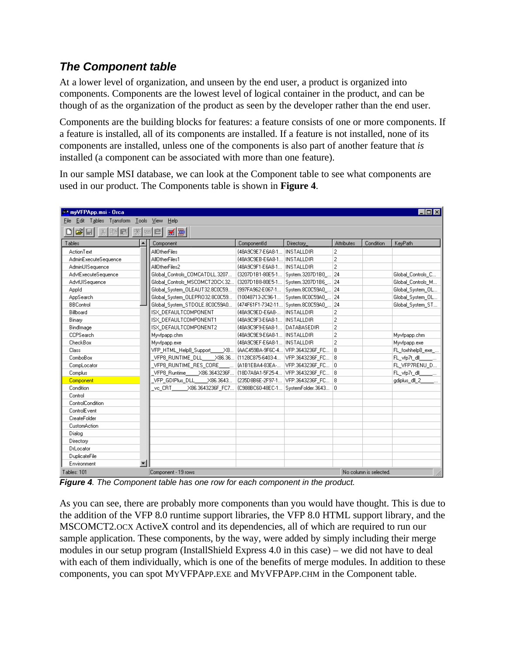#### *The Component table*

At a lower level of organization, and unseen by the end user, a product is organized into components. Components are the lowest level of logical container in the product, and can be though of as the organization of the product as seen by the developer rather than the end user.

Components are the building blocks for features: a feature consists of one or more components. If a feature is installed, all of its components are installed. If a feature is not installed, none of its components are installed, unless one of the components is also part of another feature that *is*  installed (a component can be associated with more than one feature).

In our sample MSI database, we can look at the Component table to see what components are used in our product. The Components table is shown in **Figure 4**.

| → myVFPApp.msi - Orca                                                |                                                                     |                                          |                                      |                   |           | $\Box$ ol $\times$  |  |  |
|----------------------------------------------------------------------|---------------------------------------------------------------------|------------------------------------------|--------------------------------------|-------------------|-----------|---------------------|--|--|
| Edit Tables Transform Tools<br>– <u>V</u> iew<br><b>Help</b><br>File |                                                                     |                                          |                                      |                   |           |                     |  |  |
| 来四日                                                                  |                                                                     |                                          |                                      |                   |           |                     |  |  |
| Tables                                                               | Component                                                           | ComponentId                              | Directory                            | <b>Attributes</b> | Condition | KeyPath             |  |  |
| ActionText                                                           | <b>AllOtherFiles</b>                                                | {48A9C9E7-E6A8-1                         | <b>INSTALLDIR</b>                    | $\overline{c}$    |           |                     |  |  |
| AdminExecuteSequence                                                 | AllOtherFiles1                                                      | {48A9C9EB-E6A8-1 INSTALLDIR              |                                      | $\overline{c}$    |           |                     |  |  |
| AdminUISequence                                                      | AllOtherFiles2                                                      | {48A9C9F1-E6A8-1                         | <b>INSTALLDIR</b>                    | $\overline{2}$    |           |                     |  |  |
| AdvtExecuteSequence                                                  | Global_Controls_COMCATDLL.3207                                      |                                          | {3207D1B1-80E5-1 System.3207D1B0_ 24 |                   |           | Global_Controls_C   |  |  |
| AdvtUISequence                                                       | Global Controls_MSCOMCT2OCX.32                                      |                                          | (3207D1B8-80E5-1 System.3207D1B6  24 |                   |           | Global Controls M   |  |  |
| Appld                                                                | Global System OLEAUT32.8C0C59                                       | {997FA962-E067-1                         | System.8COC59A0                      | 24                |           | Global System OL    |  |  |
| AppSearch                                                            | Global_System_OLEPR032.8C0C59                                       | {10048713-2C96-1                         | System.8C0C59A0                      | 24                |           | Global_System_OL    |  |  |
| <b>BBControl</b>                                                     | Global System STDOLE.8C0C59A0                                       |                                          | {474F61F1-7342-11 System.8C0C59A0    | 24                |           | Global System ST    |  |  |
| Billboard                                                            | ISX DEFAULTCOMPONENT                                                | {48A9C9ED-E6A8-                          | <b>INSTALLDIR</b>                    | $\overline{c}$    |           |                     |  |  |
| Binary                                                               | ISX DEFAULTCOMPONENT1                                               | {48A9C9F3-E6A8-1                         | <b>INSTALLDIR</b>                    | $\overline{c}$    |           |                     |  |  |
| BindImage                                                            | ISX DEFAULTCOMPONENT2                                               | {48A9C9F9-E6A8-1                         | DATABASEDIR                          | $\overline{c}$    |           |                     |  |  |
| <b>CCPSearch</b>                                                     | Myvfpapp.chm                                                        | {48A9C9E9-E6A8-1                         | <b>INSTALLDIR</b>                    | $\overline{c}$    |           | Myvfpapp.chm        |  |  |
| CheckBox                                                             | Myvfpapp.exe                                                        | {48A9C9EF-E6A8-1 INSTALLDIR              |                                      | $\overline{2}$    |           | Myvfpapp.exe        |  |  |
| Class                                                                | VFP_HTML_Help8_Support                                              | _X8   {AAC459BA-9F6C-4   VFP.3643236F_FC |                                      | 18                |           | FL_foxhhelp8_exe_   |  |  |
| <b>ComboBox</b>                                                      |                                                                     |                                          |                                      | 8                 |           | FL vfp7t dll        |  |  |
| CompLocator                                                          | VFP8_RUNTIME_RES_CORE _____                                         | {A1B1EBA4-83EA-                          | VFP.3643236F FC 0                    |                   |           | FL_VFP7RENU_D       |  |  |
| Complus                                                              | VFP8_Runtime_____X86.3643236F  {18D7A8A1-5F25-4  VFP.3643236F_FC  8 |                                          |                                      |                   |           | FL_vfp7r_dll_______ |  |  |
| Component                                                            | VFP GDIPlus DLL X86.3643                                            |                                          | {235D8B6E-2F97-1 VFP.3643236F FC 18  |                   |           | gdiplus_dll_2_      |  |  |
| Condition                                                            | vc CRT<br>X86.3643236F FC7                                          | {C988BC60-48EC-1                         | SystemFolder.3643 0                  |                   |           |                     |  |  |
| Control                                                              |                                                                     |                                          |                                      |                   |           |                     |  |  |
| ControlCondition                                                     |                                                                     |                                          |                                      |                   |           |                     |  |  |
| ControlE vent                                                        |                                                                     |                                          |                                      |                   |           |                     |  |  |
| CreateFolder                                                         |                                                                     |                                          |                                      |                   |           |                     |  |  |
| CustomAction                                                         |                                                                     |                                          |                                      |                   |           |                     |  |  |
| Dialog                                                               |                                                                     |                                          |                                      |                   |           |                     |  |  |
| Directory                                                            |                                                                     |                                          |                                      |                   |           |                     |  |  |
| DrLocator                                                            |                                                                     |                                          |                                      |                   |           |                     |  |  |
| DuplicateFile                                                        |                                                                     |                                          |                                      |                   |           |                     |  |  |
| ▾│<br>Environment                                                    |                                                                     |                                          |                                      |                   |           |                     |  |  |
| Tables: 101<br>Component - 19 rows<br>No column is selected.         |                                                                     |                                          |                                      |                   |           |                     |  |  |

*Figure 4. The Component table has one row for each component in the product.* 

As you can see, there are probably more components than you would have thought. This is due to the addition of the VFP 8.0 runtime support libraries, the VFP 8.0 HTML support library, and the MSCOMCT2.OCX ActiveX control and its dependencies, all of which are required to run our sample application. These components, by the way, were added by simply including their merge modules in our setup program (InstallShield Express 4.0 in this case) – we did not have to deal with each of them individually, which is one of the benefits of merge modules. In addition to these components, you can spot MYVFPAPP.EXE and MYVFPAPP.CHM in the Component table.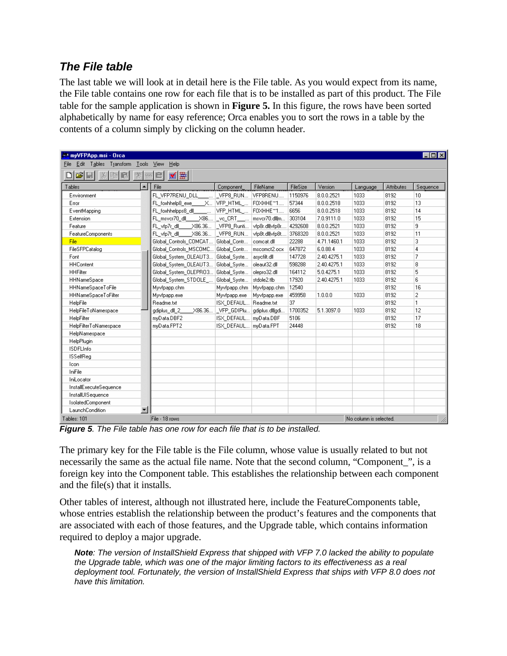#### *The File table*

The last table we will look at in detail here is the File table. As you would expect from its name, the File table contains one row for each file that is to be installed as part of this product. The File table for the sample application is shown in **Figure 5.** In this figure, the rows have been sorted alphabetically by name for easy reference; Orca enables you to sort the rows in a table by the contents of a column simply by clicking on the column header.

| ₹* myVFPApp.msi - Orca                                     |                                                              |                                       |                         |          |             |                        |            | $ \Box$ $\times$ |
|------------------------------------------------------------|--------------------------------------------------------------|---------------------------------------|-------------------------|----------|-------------|------------------------|------------|------------------|
| Edit Tables Transform Tools<br><b>View</b><br>Help<br>File |                                                              |                                       |                         |          |             |                        |            |                  |
| ■■■<br>êH<br>$ x $ to $ x $<br>亲国目                         |                                                              |                                       |                         |          |             |                        |            |                  |
| Tables<br>ᅬ                                                | File                                                         | Component                             | FileName                | FileSize | Version     | Language               | Attributes | Sequence         |
| Environment                                                | FL VFP7RENU DLL                                              | LVFP8_RUN VFP8RENU                    |                         | 1150976  | 8.0.0.2521  | 1033                   | 8192       | 10               |
| Error                                                      | FL_foxhhelp8_exe____X  VFP_HTML_  FOXHHE^1                   |                                       |                         | 57344    | 8.0.0.2518  | 1033                   | 8192       | 13               |
| EventMapping                                               | FL_foxhhelpps8_dll_________  VFP_HTML_  FOXHHE^1             |                                       |                         | 6656     | 8.0.0.2518  | 1033                   | 8192       | 14               |
| Extension                                                  | FL_msver70_dll_____X86  _ve_CRT___   msver70.dll m   303104  |                                       |                         |          | 7.0.9111.0  | 1033                   | 8192       | 15               |
| Feature                                                    | FL vfp7r dll X86.36   VFP8 Runti   vfp8r.dll vfp8r   4292608 |                                       |                         |          | 8.0.0.2521  | 1033                   | 8192       | 9                |
| FeatureComponents                                          | FL_vfp7t_dll X86.36  _VFP8_RUN                               |                                       | vfp8t.dll vfp8t 3768320 |          | 8.0.0.2521  | 1033                   | 8192       | 11               |
| <b>File</b>                                                | Global_Controls_COMCAT Global_Contr                          |                                       | comcat.dll              | 22288    | 4.71.1460.1 | 1033                   | 8192       | 3                |
| FileSFPCatalog                                             | Global Controls MSCOMC Global Contr                          |                                       | mscomct2.ocx            | 647872   | 6.0.88.4    | 1033                   | 8192       | 4                |
| Font                                                       | Global_System_OLEAUT3 Global_Syste                           |                                       | asvcfilt.dll            | 147728   | 2.40.4275.1 | 1033                   | 8192       | 7                |
| <b>HHContent</b>                                           | Global_System_OLEAUT3 Global_Syste                           |                                       | oleaut32.dll            | 598288   | 2.40.4275.1 | 1033                   | 8192       | 8                |
| <b>HHFilter</b>                                            | Global_System_OLEPRO3 Global_Syste                           |                                       | olepro32.dll            | 164112   | 5.0.4275.1  | 1033                   | 8192       | 5                |
| <b>HHNameSpace</b>                                         | Global System STDOLE  Global Syste                           |                                       | stdole2.tlb             | 17920    | 2.40.4275.1 | 1033                   | 8192       | 6                |
| HHNameSpaceToFile                                          | Myvfpapp.chm                                                 | Myvfpapp.chm Myvfpapp.chm             |                         | 12540    |             |                        | 8192       | 16               |
| HHNameSpaceToFilter                                        | Myvfpapp.exe                                                 | Myvfpapp.exe                          | Myvfpapp.exe            | 459958   | 1.0.0.0     | 1033                   | 8192       | $\overline{2}$   |
| HelpFile                                                   | Readme.txt                                                   | ISX DEFAUL Readme.txt                 |                         | 37       |             |                        | 8192       | 1                |
| HelpFileToNamespace                                        | gdiplus dll 2                                                | _X86.36  _VFP_GDIPlu  gdiplus.dll gdi |                         | 1700352  | 5.1.3097.0  | 1033                   | 8192       | 12               |
| HelpFilter                                                 | myData.DBF2                                                  | ISX DEFAUL myData.DBF                 |                         | 5106     |             |                        | 8192       | 17               |
| HelpFilterToNamespace                                      | mvData.FPT2                                                  | ISX_DEFAUL   mvData.FPT               |                         | 24448    |             |                        | 8192       | 18               |
| HelpNamespace                                              |                                                              |                                       |                         |          |             |                        |            |                  |
| HelpPlugin                                                 |                                                              |                                       |                         |          |             |                        |            |                  |
| <b>ISDFLInfo</b>                                           |                                                              |                                       |                         |          |             |                        |            |                  |
| <b>ISSelfReg</b>                                           |                                                              |                                       |                         |          |             |                        |            |                  |
| Icon                                                       |                                                              |                                       |                         |          |             |                        |            |                  |
| IniFile                                                    |                                                              |                                       |                         |          |             |                        |            |                  |
| IniLocator                                                 |                                                              |                                       |                         |          |             |                        |            |                  |
| InstallExecuteSequence                                     |                                                              |                                       |                         |          |             |                        |            |                  |
| InstallUISequence                                          |                                                              |                                       |                         |          |             |                        |            |                  |
| IsolatedComponent                                          |                                                              |                                       |                         |          |             |                        |            |                  |
| LaunchCondition<br>▾                                       |                                                              |                                       |                         |          |             |                        |            |                  |
| Tables: 101                                                | File - 18 rows                                               |                                       |                         |          |             | No column is selected. |            |                  |

*Figure 5. The File table has one row for each file that is to be installed.*

The primary key for the File table is the File column, whose value is usually related to but not necessarily the same as the actual file name. Note that the second column, "Component", is a foreign key into the Component table. This establishes the relationship between each component and the file(s) that it installs.

Other tables of interest, although not illustrated here, include the FeatureComponents table, whose entries establish the relationship between the product's features and the components that are associated with each of those features, and the Upgrade table, which contains information required to deploy a major upgrade.

*Note: The version of InstallShield Express that shipped with VFP 7.0 lacked the ability to populate the Upgrade table, which was one of the major limiting factors to its effectiveness as a real deployment tool. Fortunately, the version of InstallShield Express that ships with VFP 8.0 does not have this limitation.*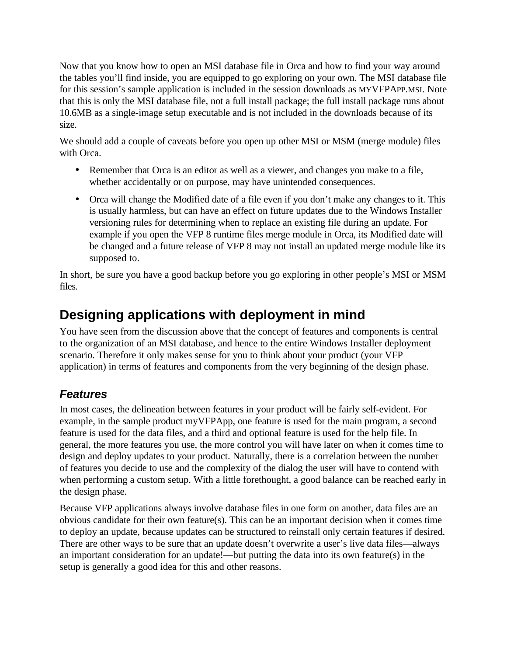Now that you know how to open an MSI database file in Orca and how to find your way around the tables you'll find inside, you are equipped to go exploring on your own. The MSI database file for this session's sample application is included in the session downloads as MYVFPAPP.MSI. Note that this is only the MSI database file, not a full install package; the full install package runs about 10.6MB as a single-image setup executable and is not included in the downloads because of its size.

We should add a couple of caveats before you open up other MSI or MSM (merge module) files with Orca.

- Remember that Orca is an editor as well as a viewer, and changes you make to a file, whether accidentally or on purpose, may have unintended consequences.
- Orca will change the Modified date of a file even if you don't make any changes to it. This is usually harmless, but can have an effect on future updates due to the Windows Installer versioning rules for determining when to replace an existing file during an update. For example if you open the VFP 8 runtime files merge module in Orca, its Modified date will be changed and a future release of VFP 8 may not install an updated merge module like its supposed to.

In short, be sure you have a good backup before you go exploring in other people's MSI or MSM files.

# **Designing applications with deployment in mind**

You have seen from the discussion above that the concept of features and components is central to the organization of an MSI database, and hence to the entire Windows Installer deployment scenario. Therefore it only makes sense for you to think about your product (your VFP application) in terms of features and components from the very beginning of the design phase.

#### *Features*

In most cases, the delineation between features in your product will be fairly self-evident. For example, in the sample product myVFPApp, one feature is used for the main program, a second feature is used for the data files, and a third and optional feature is used for the help file. In general, the more features you use, the more control you will have later on when it comes time to design and deploy updates to your product. Naturally, there is a correlation between the number of features you decide to use and the complexity of the dialog the user will have to contend with when performing a custom setup. With a little forethought, a good balance can be reached early in the design phase.

Because VFP applications always involve database files in one form on another, data files are an obvious candidate for their own feature(s). This can be an important decision when it comes time to deploy an update, because updates can be structured to reinstall only certain features if desired. There are other ways to be sure that an update doesn't overwrite a user's live data files—always an important consideration for an update!—but putting the data into its own feature(s) in the setup is generally a good idea for this and other reasons.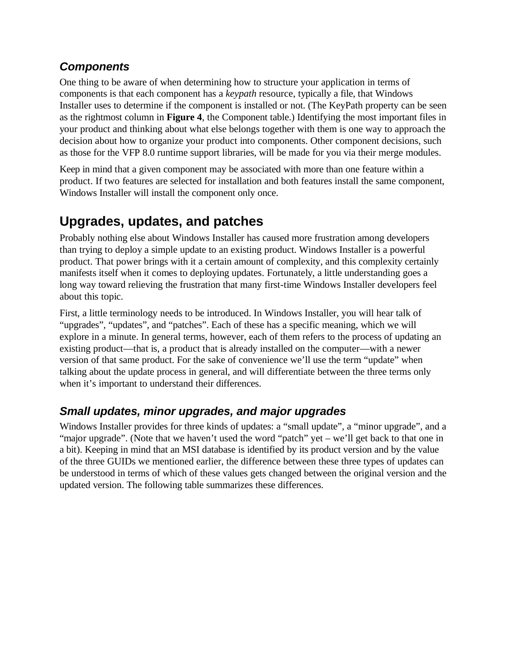#### *Components*

One thing to be aware of when determining how to structure your application in terms of components is that each component has a *keypath* resource, typically a file, that Windows Installer uses to determine if the component is installed or not. (The KeyPath property can be seen as the rightmost column in **Figure 4**, the Component table.) Identifying the most important files in your product and thinking about what else belongs together with them is one way to approach the decision about how to organize your product into components. Other component decisions, such as those for the VFP 8.0 runtime support libraries, will be made for you via their merge modules.

Keep in mind that a given component may be associated with more than one feature within a product. If two features are selected for installation and both features install the same component, Windows Installer will install the component only once.

## **Upgrades, updates, and patches**

Probably nothing else about Windows Installer has caused more frustration among developers than trying to deploy a simple update to an existing product. Windows Installer is a powerful product. That power brings with it a certain amount of complexity, and this complexity certainly manifests itself when it comes to deploying updates. Fortunately, a little understanding goes a long way toward relieving the frustration that many first-time Windows Installer developers feel about this topic.

First, a little terminology needs to be introduced. In Windows Installer, you will hear talk of "upgrades", "updates", and "patches". Each of these has a specific meaning, which we will explore in a minute. In general terms, however, each of them refers to the process of updating an existing product—that is, a product that is already installed on the computer—with a newer version of that same product. For the sake of convenience we'll use the term "update" when talking about the update process in general, and will differentiate between the three terms only when it's important to understand their differences.

#### *Small updates, minor upgrades, and major upgrades*

Windows Installer provides for three kinds of updates: a "small update", a "minor upgrade", and a "major upgrade". (Note that we haven't used the word "patch" yet – we'll get back to that one in a bit). Keeping in mind that an MSI database is identified by its product version and by the value of the three GUIDs we mentioned earlier, the difference between these three types of updates can be understood in terms of which of these values gets changed between the original version and the updated version. The following table summarizes these differences.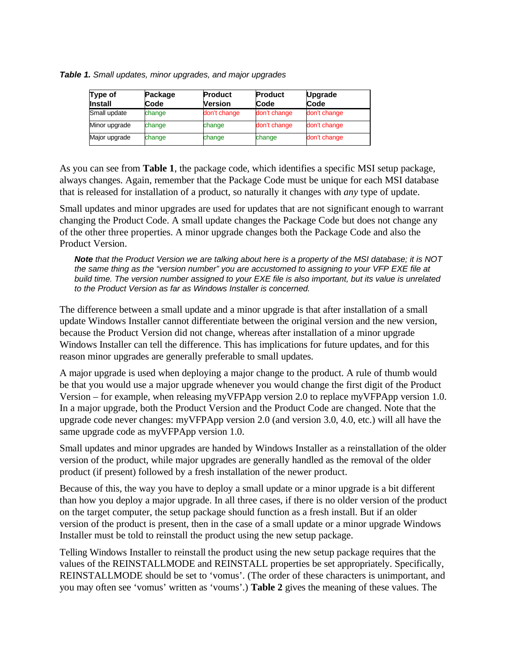*Table 1. Small updates, minor upgrades, and major upgrades*

| Type of<br><b>Install</b> | Package<br>Code | <b>Product</b><br>Version | <b>Product</b><br>Code | <b>Upgrade</b><br>Code |
|---------------------------|-----------------|---------------------------|------------------------|------------------------|
| Small update              | change          | don't change              | don't change           | don't change           |
| Minor upgrade             | change          | change                    | don't change           | don't change           |
| Major upgrade             | change          | change                    | change                 | don't change           |

As you can see from **Table 1**, the package code, which identifies a specific MSI setup package, always changes. Again, remember that the Package Code must be unique for each MSI database that is released for installation of a product, so naturally it changes with *any* type of update.

Small updates and minor upgrades are used for updates that are not significant enough to warrant changing the Product Code. A small update changes the Package Code but does not change any of the other three properties. A minor upgrade changes both the Package Code and also the Product Version.

*Note that the Product Version we are talking about here is a property of the MSI database; it is NOT the same thing as the "version number" you are accustomed to assigning to your VFP EXE file at build time. The version number assigned to your EXE file is also important, but its value is unrelated to the Product Version as far as Windows Installer is concerned.*

The difference between a small update and a minor upgrade is that after installation of a small update Windows Installer cannot differentiate between the original version and the new version, because the Product Version did not change, whereas after installation of a minor upgrade Windows Installer can tell the difference. This has implications for future updates, and for this reason minor upgrades are generally preferable to small updates.

A major upgrade is used when deploying a major change to the product. A rule of thumb would be that you would use a major upgrade whenever you would change the first digit of the Product Version – for example, when releasing myVFPApp version 2.0 to replace myVFPApp version 1.0. In a major upgrade, both the Product Version and the Product Code are changed. Note that the upgrade code never changes: myVFPApp version 2.0 (and version 3.0, 4.0, etc.) will all have the same upgrade code as myVFPApp version 1.0.

Small updates and minor upgrades are handed by Windows Installer as a reinstallation of the older version of the product, while major upgrades are generally handled as the removal of the older product (if present) followed by a fresh installation of the newer product.

Because of this, the way you have to deploy a small update or a minor upgrade is a bit different than how you deploy a major upgrade. In all three cases, if there is no older version of the product on the target computer, the setup package should function as a fresh install. But if an older version of the product is present, then in the case of a small update or a minor upgrade Windows Installer must be told to reinstall the product using the new setup package.

Telling Windows Installer to reinstall the product using the new setup package requires that the values of the REINSTALLMODE and REINSTALL properties be set appropriately. Specifically, REINSTALLMODE should be set to 'vomus'. (The order of these characters is unimportant, and you may often see 'vomus' written as 'voums'.) **Table 2** gives the meaning of these values. The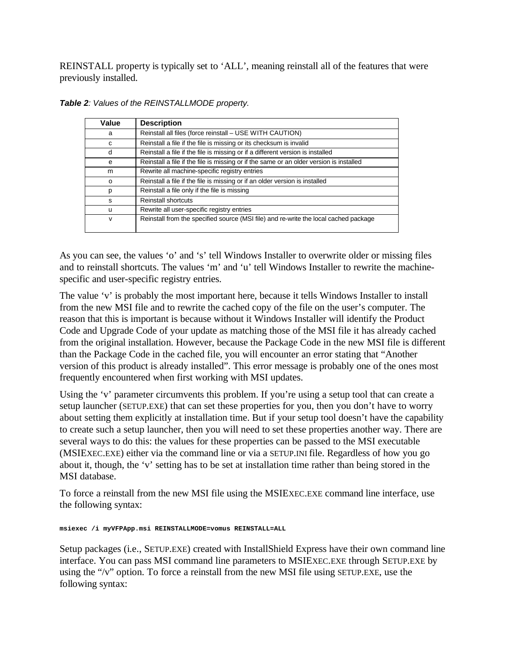REINSTALL property is typically set to 'ALL', meaning reinstall all of the features that were previously installed.

| Value | <b>Description</b>                                                                      |
|-------|-----------------------------------------------------------------------------------------|
| a     | Reinstall all files (force reinstall – USE WITH CAUTION)                                |
| c     | Reinstall a file if the file is missing or its checksum is invalid                      |
| d     | Reinstall a file if the file is missing or if a different version is installed          |
| e     | Reinstall a file if the file is missing or if the same or an older version is installed |
| m     | Rewrite all machine-specific registry entries                                           |
| o     | Reinstall a file if the file is missing or if an older version is installed             |
| p     | Reinstall a file only if the file is missing                                            |
| S     | <b>Reinstall shortcuts</b>                                                              |
| u     | Rewrite all user-specific registry entries                                              |
| v     | Reinstall from the specified source (MSI file) and re-write the local cached package    |

*Table 2: Values of the REINSTALLMODE property.* 

As you can see, the values 'o' and 's' tell Windows Installer to overwrite older or missing files and to reinstall shortcuts. The values 'm' and 'u' tell Windows Installer to rewrite the machinespecific and user-specific registry entries.

The value 'v' is probably the most important here, because it tells Windows Installer to install from the new MSI file and to rewrite the cached copy of the file on the user's computer. The reason that this is important is because without it Windows Installer will identify the Product Code and Upgrade Code of your update as matching those of the MSI file it has already cached from the original installation. However, because the Package Code in the new MSI file is different than the Package Code in the cached file, you will encounter an error stating that "Another version of this product is already installed". This error message is probably one of the ones most frequently encountered when first working with MSI updates.

Using the 'v' parameter circumvents this problem. If you're using a setup tool that can create a setup launcher (SETUP.EXE) that can set these properties for you, then you don't have to worry about setting them explicitly at installation time. But if your setup tool doesn't have the capability to create such a setup launcher, then you will need to set these properties another way. There are several ways to do this: the values for these properties can be passed to the MSI executable (MSIEXEC.EXE) either via the command line or via a SETUP.INI file. Regardless of how you go about it, though, the 'v' setting has to be set at installation time rather than being stored in the MSI database.

To force a reinstall from the new MSI file using the MSIEXEC.EXE command line interface, use the following syntax:

**msiexec /i myVFPApp.msi REINSTALLMODE=vomus REINSTALL=ALL**

Setup packages (i.e., SETUP.EXE) created with InstallShield Express have their own command line interface. You can pass MSI command line parameters to MSIEXEC.EXE through SETUP.EXE by using the "/v" option. To force a reinstall from the new MSI file using SETUP.EXE, use the following syntax: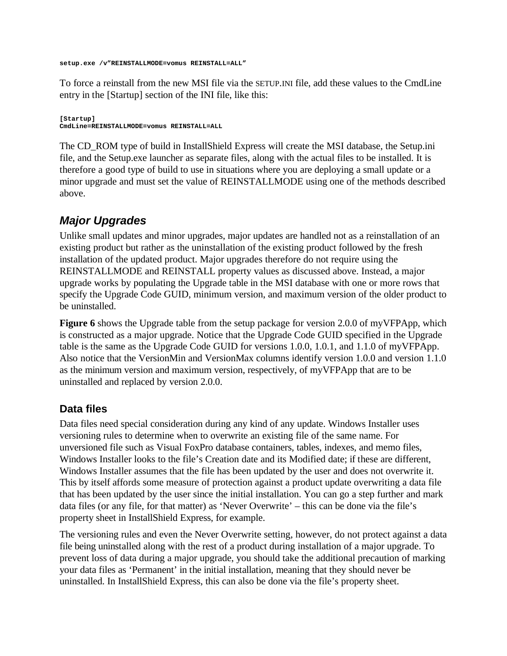**setup.exe /v"REINSTALLMODE=vomus REINSTALL=ALL"**

To force a reinstall from the new MSI file via the SETUP.INI file, add these values to the CmdLine entry in the [Startup] section of the INI file, like this:

**[Startup] CmdLine=REINSTALLMODE=vomus REINSTALL=ALL**

The CD\_ROM type of build in InstallShield Express will create the MSI database, the Setup.ini file, and the Setup.exe launcher as separate files, along with the actual files to be installed. It is therefore a good type of build to use in situations where you are deploying a small update or a minor upgrade and must set the value of REINSTALLMODE using one of the methods described above.

#### *Major Upgrades*

Unlike small updates and minor upgrades, major updates are handled not as a reinstallation of an existing product but rather as the uninstallation of the existing product followed by the fresh installation of the updated product. Major upgrades therefore do not require using the REINSTALLMODE and REINSTALL property values as discussed above. Instead, a major upgrade works by populating the Upgrade table in the MSI database with one or more rows that specify the Upgrade Code GUID, minimum version, and maximum version of the older product to be uninstalled.

**Figure 6** shows the Upgrade table from the setup package for version 2.0.0 of myVFPApp, which is constructed as a major upgrade. Notice that the Upgrade Code GUID specified in the Upgrade table is the same as the Upgrade Code GUID for versions 1.0.0, 1.0.1, and 1.1.0 of myVFPApp. Also notice that the VersionMin and VersionMax columns identify version 1.0.0 and version 1.1.0 as the minimum version and maximum version, respectively, of myVFPApp that are to be uninstalled and replaced by version 2.0.0.

#### **Data files**

Data files need special consideration during any kind of any update. Windows Installer uses versioning rules to determine when to overwrite an existing file of the same name. For unversioned file such as Visual FoxPro database containers, tables, indexes, and memo files, Windows Installer looks to the file's Creation date and its Modified date; if these are different, Windows Installer assumes that the file has been updated by the user and does not overwrite it. This by itself affords some measure of protection against a product update overwriting a data file that has been updated by the user since the initial installation. You can go a step further and mark data files (or any file, for that matter) as 'Never Overwrite' – this can be done via the file's property sheet in InstallShield Express, for example.

The versioning rules and even the Never Overwrite setting, however, do not protect against a data file being uninstalled along with the rest of a product during installation of a major upgrade. To prevent loss of data during a major upgrade, you should take the additional precaution of marking your data files as 'Permanent' in the initial installation, meaning that they should never be uninstalled. In InstallShield Express, this can also be done via the file's property sheet.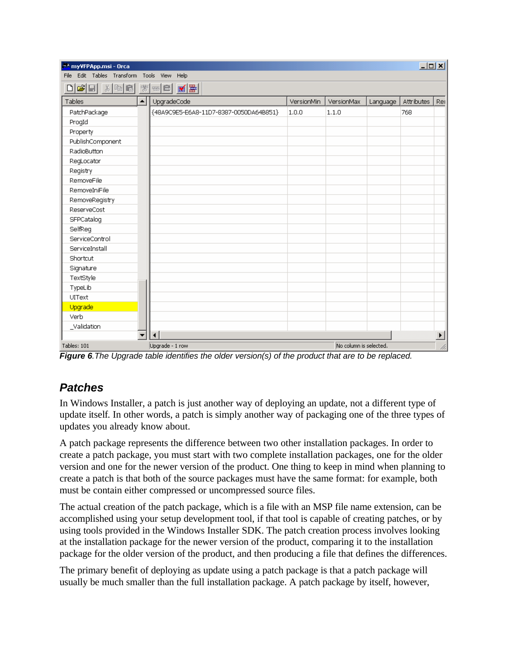| myVFPApp.msi - Orca                           |                  |                                        |            |                        |          | $L = 1$    |                       |
|-----------------------------------------------|------------------|----------------------------------------|------------|------------------------|----------|------------|-----------------------|
| Edit Tables Transform Tools View Help<br>File |                  |                                        |            |                        |          |            |                       |
|                                               |                  |                                        |            |                        |          |            |                       |
| Tables                                        | $\blacktriangle$ | UpgradeCode                            | VersionMin | VersionMax             | Language | Attributes | Rer                   |
| PatchPackage                                  |                  | {48A9C9E5-E6A8-11D7-8387-0050DA64B851} | 1.0.0      | 1.1.0                  |          | 768        |                       |
| ProgId                                        |                  |                                        |            |                        |          |            |                       |
| Property                                      |                  |                                        |            |                        |          |            |                       |
| PublishComponent                              |                  |                                        |            |                        |          |            |                       |
| RadioButton                                   |                  |                                        |            |                        |          |            |                       |
| RegLocator                                    |                  |                                        |            |                        |          |            |                       |
| Registry                                      |                  |                                        |            |                        |          |            |                       |
| RemoveFile                                    |                  |                                        |            |                        |          |            |                       |
| RemoveIniFile                                 |                  |                                        |            |                        |          |            |                       |
| RemoveRegistry                                |                  |                                        |            |                        |          |            |                       |
| <b>ReserveCost</b>                            |                  |                                        |            |                        |          |            |                       |
| SFPCatalog                                    |                  |                                        |            |                        |          |            |                       |
| SelfReg                                       |                  |                                        |            |                        |          |            |                       |
| ServiceControl                                |                  |                                        |            |                        |          |            |                       |
| ServiceInstall                                |                  |                                        |            |                        |          |            |                       |
| Shortcut                                      |                  |                                        |            |                        |          |            |                       |
| Signature                                     |                  |                                        |            |                        |          |            |                       |
| TextStyle                                     |                  |                                        |            |                        |          |            |                       |
| TypeLib                                       |                  |                                        |            |                        |          |            |                       |
| UIText                                        |                  |                                        |            |                        |          |            |                       |
| Upgrade                                       |                  |                                        |            |                        |          |            |                       |
| Verb                                          |                  |                                        |            |                        |          |            |                       |
| _Validation                                   |                  |                                        |            |                        |          |            |                       |
|                                               |                  | $\blacktriangleleft$                   |            |                        |          |            | $\blacktriangleright$ |
| Tables: 101                                   |                  | Upgrade - 1 row                        |            | No column is selected. |          |            | h                     |

*Figure 6.The Upgrade table identifies the older version(s) of the product that are to be replaced.*

#### *Patches*

In Windows Installer, a patch is just another way of deploying an update, not a different type of update itself. In other words, a patch is simply another way of packaging one of the three types of updates you already know about.

A patch package represents the difference between two other installation packages. In order to create a patch package, you must start with two complete installation packages, one for the older version and one for the newer version of the product. One thing to keep in mind when planning to create a patch is that both of the source packages must have the same format: for example, both must be contain either compressed or uncompressed source files.

The actual creation of the patch package, which is a file with an MSP file name extension, can be accomplished using your setup development tool, if that tool is capable of creating patches, or by using tools provided in the Windows Installer SDK. The patch creation process involves looking at the installation package for the newer version of the product, comparing it to the installation package for the older version of the product, and then producing a file that defines the differences.

The primary benefit of deploying as update using a patch package is that a patch package will usually be much smaller than the full installation package. A patch package by itself, however,